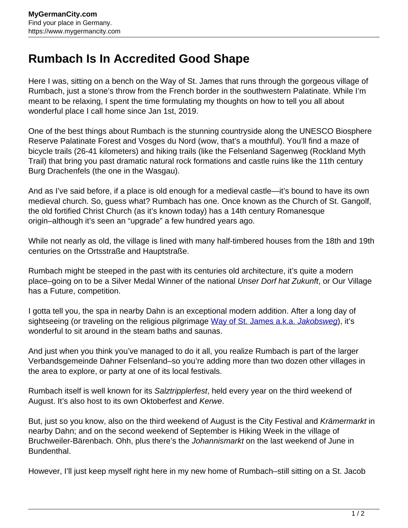## **Rumbach Is In Accredited Good Shape**

Here I was, sitting on a bench on the Way of St. James that runs through the gorgeous village of Rumbach, just a stone's throw from the French border in the southwestern Palatinate. While I'm meant to be relaxing, I spent the time formulating my thoughts on how to tell you all about wonderful place I call home since Jan 1st, 2019.

One of the best things about Rumbach is the stunning countryside along the UNESCO Biosphere Reserve Palatinate Forest and Vosges du Nord (wow, that's a mouthful). You'll find a maze of bicycle trails (26-41 kilometers) and hiking trails (like the Felsenland Sagenweg (Rockland Myth Trail) that bring you past dramatic natural rock formations and castle ruins like the 11th century Burg Drachenfels (the one in the Wasgau).

And as I've said before, if a place is old enough for a medieval castle—it's bound to have its own medieval church. So, guess what? Rumbach has one. Once known as the Church of St. Gangolf, the old fortified Christ Church (as it's known today) has a 14th century Romanesque origin–although it's seen an "upgrade" a few hundred years ago.

While not nearly as old, the village is lined with many half-timbered houses from the 18th and 19th centuries on the Ortsstraße and Hauptstraße.

Rumbach might be steeped in the past with its centuries old architecture, it's quite a modern place–going on to be a Silver Medal Winner of the national *Unser Dorf hat Zukunft*, or Our Village has a Future, competition.

I gotta tell you, the spa in nearby Dahn is an exceptional modern addition. After a long day of sightseeing (or traveling on the religious pilgrimage [Way of St. James a.k.a.](https://www.mygermancity.com/way-of-st-james) [Jakobsweg](https://www.mygermancity.com/way-of-st-james)), it's wonderful to sit around in the steam baths and saunas.

And just when you think you've managed to do it all, you realize Rumbach is part of the larger Verbandsgemeinde Dahner Felsenland–so you're adding more than two dozen other villages in the area to explore, or party at one of its local festivals.

Rumbach itself is well known for its Salztripplerfest, held every year on the third weekend of August. It's also host to its own Oktoberfest and Kerwe.

But, just so you know, also on the third weekend of August is the City Festival and Krämermarkt in nearby Dahn; and on the second weekend of September is Hiking Week in the village of Bruchweiler-Bärenbach. Ohh, plus there's the Johannismarkt on the last weekend of June in Bundenthal.

However, I'll just keep myself right here in my new home of Rumbach–still sitting on a St. Jacob